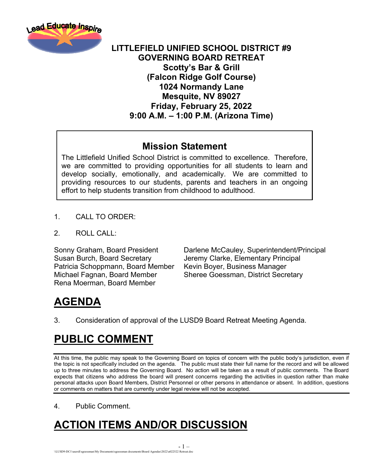

#### **LITTLEFIELD UNIFIED SCHOOL DISTRICT #9 GOVERNING BOARD RETREAT Scotty's Bar & Grill (Falcon Ridge Golf Course) 1024 Normandy Lane Mesquite, NV 89027 Friday, February 25, 2022 9:00 A.M. – 1:00 P.M. (Arizona Time)**

#### **Mission Statement**

The Littlefield Unified School District is committed to excellence. Therefore, we are committed to providing opportunities for all students to learn and develop socially, emotionally, and academically. We are committed to providing resources to our students, parents and teachers in an ongoing effort to help students transition from childhood to adulthood.

- 1. CALL TO ORDER:
- $2 \quad$  ROLL CALL:

Susan Burch, Board Secretary Jeremy Clarke, Elementary Principal Patricia Schoppmann, Board Member Kevin Boyer, Business Manager Michael Fagnan, Board Member Sheree Goessman, District Secretary Rena Moerman, Board Member

Sonny Graham, Board President Darlene McCauley, Superintendent/Principal

## **AGENDA**

3. Consideration of approval of the LUSD9 Board Retreat Meeting Agenda.

- 1 –

#### **PUBLIC COMMENT**

At this time, the public may speak to the Governing Board on topics of concern with the public body's jurisdiction, even if the topic is not specifically included on the agenda. The public must state their full name for the record and will be allowed up to three minutes to address the Governing Board. No action will be taken as a result of public comments. The Board expects that citizens who address the board will present concerns regarding the activities in question rather than make personal attacks upon Board Members, District Personnel or other persons in attendance or absent. In addition, questions or comments on matters that are currently under legal review will not be accepted.

4. Public Comment.

# **ACTION ITEMS AND/OR DISCUSSION**